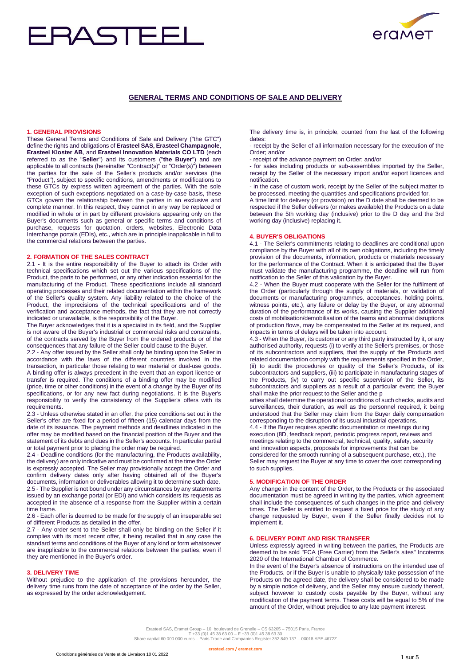# RASTE



# **GENERAL TERMS AND CONDITIONS OF SALE AND DELIVERY**

#### **1. GENERAL PROVISIONS**

These General Terms and Conditions of Sale and Delivery ("the GTC") define the rights and obligations of **Erasteel SAS, Erasteel Champagnole, Erasteel Kloster AB**, and **Erasteel Innovation Materials CO LTD** (each referred to as the "**Seller**") and its customers ("**the Buyer**") and are applicable to all contracts (hereinafter "Contract(s)" or "Order(s)") between the parties for the sale of the Seller's products and/or services (the "Product"), subject to specific conditions, amendments or modifications to these GTCs by express written agreement of the parties. With the sole exception of such exceptions negotiated on a case-by-case basis, these GTCs govern the relationship between the parties in an exclusive and complete manner. In this respect, they cannot in any way be replaced or modified in whole or in part by different provisions appearing only on the Buyer's documents such as general or specific terms and conditions of purchase, requests for quotation, orders, websites, Electronic Data Interchange portals (EDIs), etc., which are in principle inapplicable in full to the commercial relations between the parties.

# **2. FORMATION OF THE SALES CONTRACT**

2.1 - It is the entire responsibility of the Buyer to attach its Order with technical specifications which set out the various specifications of the Product, the parts to be performed, or any other indication essential for the manufacturing of the Product. These specifications include all standard operating processes and their related documentation within the framework of the Seller's quality system. Any liability related to the choice of the Product, the imprecisions of the technical specifications and of the verification and acceptance methods, the fact that they are not correctly indicated or unavailable, is the responsibility of the Buyer.

The Buyer acknowledges that it is a specialist in its field, and the Supplier is not aware of the Buyer's industrial or commercial risks and constraints, of the contracts served by the Buyer from the ordered products or of the consequences that any failure of the Seller could cause to the Buyer.

2.2 - Any offer issued by the Seller shall only be binding upon the Seller in accordance with the laws of the different countries involved in the transaction, in particular those relating to war material or dual-use goods. A binding offer is always precedent in the event that an export licence or transfer is required. The conditions of a binding offer may be modified (price, time or other conditions) in the event of a change by the Buyer of its specifications, or for any new fact during negotiations. It is the Buyer's responsibility to verify the consistency of the Supplier's offers with its requirements.

2.3 - Unless otherwise stated in an offer, the price conditions set out in the Seller's offer are fixed for a period of fifteen (15) calendar days from the date of its issuance. The payment methods and deadlines indicated in the offer may be modified based on the financial position of the Buyer and the statement of its debts and dues in the Seller's accounts. In particular partial or total payment prior to placing the order may be required.

2.4 - Deadline conditions (for the manufacturing, the Products availability, the delivery) are only indicative and must be confirmed at the time the Order is expressly accepted. The Seller may provisionally accept the Order and confirm delivery dates only after having obtained all of the Buyer's documents, information or deliverables allowing it to determine such date. 2.5 - The Supplier is not bound under any circumstances by any statements issued by an exchange portal (or EDI) and which considers its requests as accepted in the absence of a response from the Supplier within a certain time frame.

2.6 - Each offer is deemed to be made for the supply of an inseparable set of different Products as detailed in the offer.

2.7 - Any order sent to the Seller shall only be binding on the Seller if it complies with its most recent offer, it being recalled that in any case the standard terms and conditions of the Buyer of any kind or form whatsoever are inapplicable to the commercial relations between the parties, even if they are mentioned in the Buyer's order.

#### **3. DELIVERY TIME**

Without prejudice to the application of the provisions hereunder, the delivery time runs from the date of acceptance of the order by the Seller, as expressed by the order acknowledgement.

The delivery time is, in principle, counted from the last of the following dates:

- receipt by the Seller of all information necessary for the execution of the Order; and/or

- receipt of the advance payment on Order; and/or

- for sales including products or sub-assemblies imported by the Seller, receipt by the Seller of the necessary import and/or export licences and notification.

- in the case of custom work, receipt by the Seller of the subject matter to be processed, meeting the quantities and specifications provided for.

A time limit for delivery (or provision) on the D date shall be deemed to be respected if the Seller delivers (or makes available) the Products on a date between the 5th working day (inclusive) prior to the D day and the 3rd working day (inclusive) replacing it.

#### **4. BUYER'S OBLIGATIONS**

4.1 - The Seller's commitments relating to deadlines are conditional upon compliance by the Buyer with all of its own obligations, including the timely provision of the documents, information, products or materials necessary for the performance of the Contract. When it is anticipated that the Buyer must validate the manufacturing programme, the deadline will run from notification to the Seller of this validation by the Buyer.

4.2 - When the Buyer must cooperate with the Seller for the fulfilment of the Order (particularly through the supply of materials, or validation of documents or manufacturing programmes, acceptances, holding points, witness points, etc.), any failure or delay by the Buyer, or any abnormal duration of the performance of its works, causing the Supplier additional costs of mobilisation/demobilisation of the teams and abnormal disruptions of production flows, may be compensated to the Seller at its request, and impacts in terms of delays will be taken into account.

4.3 - When the Buyer, its customer or any third party instructed by it, or any authorised authority, requests (i) to verify at the Seller's premises, or those of its subcontractors and suppliers, that the supply of the Products and related documentation comply with the requirements specified in the Order, (ii) to audit the procedures or quality of the Seller's Products, of its subcontractors and suppliers, (iii) to participate in manufacturing stages of the Products, (iv) to carry out specific supervision of the Seller, its subcontractors and suppliers as a result of a particular event; the Buyer shall make the prior request to the Seller and the p

arties shall determine the operational conditions of such checks, audits and surveillances, their duration, as well as the personnel required, it being understood that the Seller may claim from the Buyer daily compensation corresponding to the disruption of its usual industrial operations. 4.4 - If the Buyer requires specific documentation or meetings during execution (8D, feedback report, periodic progress report, reviews and meetings relating to the commercial, technical, quality, safety, security

and innovation aspects, proposals for improvements that can be considered for the smooth running of a subsequent purchase, etc.), the Seller may request the Buyer at any time to cover the cost corresponding to such supplies.

# **5. MODIFICATION OF THE ORDER**

Any change in the content of the Order, to the Products or the associated documentation must be agreed in writing by the parties, which agreement shall include the consequences of such changes in the price and delivery times. The Seller is entitled to request a fixed price for the study of any change requested by Buyer, even if the Seller finally decides not to implement it.

#### **6. DELIVERY POINT AND RISK TRANSFER**

Unless expressly agreed in writing between the parties, the Products are deemed to be sold "FCA (Free Carrier) from the Seller's sites" Incoterms 2020 of the International Chamber of Commerce.

In the event of the Buyer's absence of instructions on the intended use of the Products, or if the Buyer is unable to physically take possession of the Products on the agreed date, the delivery shall be considered to be made by a simple notice of delivery, and the Seller may ensure custody thereof, subject however to custody costs payable by the Buyer, without any modification of the payment terms. These costs will be equal to 5% of the amount of the Order, without prejudice to any late payment interest.

Erasteel SAS, Eramet Group – 10, boulevard de Grenelle – CS 63205 – 75015 Paris, France<br>T +33 (0)1 45 38 63 00 – F +33 (0)1 45 38 64<br>Share capital 60 000 000 euros – Paris Trade and Companies Register 352 849 137 – 00018 A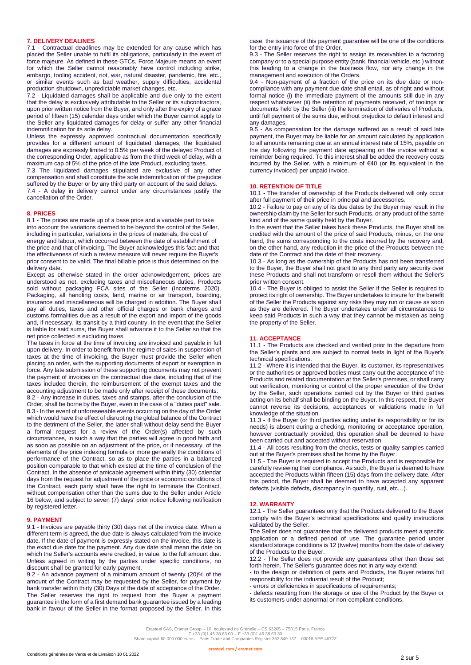#### **7. DELIVERY DEALINES**

7.1 - Contractual deadlines may be extended for any cause which has placed the Seller unable to fulfil its obligations, particularly in the event of force majeure. As defined in these GTCs, Force Majeure means an event for which the Seller cannot reasonably have control including strike, embargo, tooling accident, riot, war, natural disaster, pandemic, fire, etc. or similar events such as bad weather, supply difficulties, accidental production shutdown, unpredictable market changes, etc.

7.2 - Liquidated damages shall be applicable and due only to the extent that the delay is exclusively attributable to the Seller or its subcontractors, upon prior written notice from the Buyer, and only after the expiry of a grace period of fifteen (15) calendar days under which the Buyer cannot apply to the Seller any liquidated damages for delay or suffer any other financial indemnification for its sole delay.

Unless the expressly approved contractual documentation specifically provides for a different amount of liquidated damages, the liquidated damages are expressly limited to 0.5% per week of the delayed Product of the corresponding Order, applicable as from the third week of delay, with a maximum cap of 5% of the price of the late Product, excluding taxes.

7.3 The liquidated damages stipulated are exclusive of any other compensation and shall constitute the sole indemnification of the prejudice suffered by the Buyer or by any third party on account of the said delays. 7.4 - A delay in delivery cannot under any circumstances justify the cancellation of the Order.

#### **8. PRICES**

8.1 - The prices are made up of a base price and a variable part to take into account the variations deemed to be beyond the control of the Seller, including in particular, variations in the prices of materials, the cost of energy and labour, which occurred between the date of establishment of the price and that of invoicing. The Buyer acknowledges this fact and that the effectiveness of such a review measure will never require the Buyer's prior consent to be valid. The final billable price is thus determined on the delivery date.

Except as otherwise stated in the order acknowledgement, prices are understood as net, excluding taxes and miscellaneous duties, Products sold without packaging FCA sites of the Seller (Incoterms 2020). Packaging, all handling costs, land, marine or air transport, boarding, insurance and miscellaneous will be charged in addition. The Buyer shall pay all duties, taxes and other official charges or bank charges and customs formalities due as a result of the export and import of the goods and, if necessary, its transit by a third country. In the event that the Seller is liable for said sums, the Buyer shall advance it to the Seller so that the net price collected is excluding taxes.

The taxes in force at the time of invoicing are invoiced and payable in full upon delivery. In order to benefit from the regime of sales in suspension of taxes at the time of invoicing, the Buyer must provide the Seller when placing an order, with the supporting documents of export or exemption in force. Any late submission of these supporting documents may not prevent the payment of invoices on the contractual due date, including that of the taxes included therein, the reimbursement of the exempt taxes and the accounting adjustment to be made only after receipt of these documents.

8.2 - Any increase in duties, taxes and stamps, after the conclusion of the Order, shall be borne by the Buyer, even in the case of a "duties paid" sale. 8.3 - In the event of unforeseeable events occurring on the day of the Order which would have the effect of disrupting the global balance of the Contract to the detriment of the Seller, the latter shall without delay send the Buyer a formal request for a review of the Order(s) affected by such circumstances, in such a way that the parties will agree in good faith and as soon as possible on an adjustment of the price, or if necessary, of the elements of the price indexing formula or more generally the conditions of performance of the Contract, so as to place the parties in a balanced position comparable to that which existed at the time of conclusion of the Contract. In the absence of amicable agreement within thirty (30) calendar days from the request for adjustment of the price or economic conditions of the Contract, each party shall have the right to terminate the Contract, without compensation other than the sums due to the Seller under Article 16 below, and subject to seven (7) days' prior notice following notification by registered letter.

#### **9. PAYMENT**

9.1 - Invoices are payable thirty (30) days net of the invoice date. When a different term is agreed, the due date is always calculated from the invoice date. If the date of payment is expressly stated on the invoice, this date is the exact due date for the payment. Any due date shall mean the date on which the Seller's accounts were credited, in value, to the full amount due. Unless agreed in writing by the parties under specific conditions, no discount shall be granted for early payment.

9.2 - An advance payment of a minimum amount of twenty (20)% of the amount of the Contract may be requested by the Seller, for payment by bank transfer within thirty (30) Days of the date of acceptance of the Order. The Seller reserves the right to request from the Buyer a payment guarantee in the form of a first demand bank guarantee issued by a leading bank in favour of the Seller in the format proposed by the Seller. In this

case, the issuance of this payment guarantee will be one of the conditions for the entry into force of the Order.

9.3 - The Seller reserves the right to assign its receivables to a factoring company or to a special purpose entity (bank, financial vehicle, etc.) without this leading to a change in the business flow, nor any change in the management and execution of the Orders.

9.4 - Non-payment of a fraction of the price on its due date or noncompliance with any payment due date shall entail, as of right and without formal notice (i) the immediate payment of the amounts still due in any respect whatsoever (ii) the retention of payments received, of toolings or documents held by the Seller (iii) the termination of deliveries of Products, until full payment of the sums due, without prejudice to default interest and any damages.

9.5 - As compensation for the damage suffered as a result of said late payment, the Buyer may be liable for an amount calculated by application to all amounts remaining due at an annual interest rate of 15%, payable on the day following the payment date appearing on the invoice without a reminder being required. To this interest shall be added the recovery costs incurred by the Seller, with a minimum of €40 (or its equivalent in the currency invoiced) per unpaid invoice.

# **10. RETENTION OF TITLE**

10.1 - The transfer of ownership of the Products delivered will only occur after full payment of their price in principal and accessories.

10.2 - Failure to pay on any of its due dates by the Buyer may result in the ownership claim by the Seller for such Products, or any product of the same kind and of the same quality held by the Buyer.

In the event that the Seller takes back these Products, the Buyer shall be credited with the amount of the price of said Products, minus, on the one hand, the sums corresponding to the costs incurred by the recovery and, on the other hand, any reduction in the price of the Products between the date of the Contract and the date of their recovery.

10.3 - As long as the ownership of the Products has not been transferred to the Buyer, the Buyer shall not grant to any third party any security over these Products and shall not transform or resell them without the Seller's prior written consent.

10.4 - The Buyer is obliged to assist the Seller if the Seller is required to protect its right of ownership. The Buyer undertakes to insure for the benefit of the Seller the Products against any risks they may run or cause as soon as they are delivered. The Buyer undertakes under all circumstances to keep said Products in such a way that they cannot be mistaken as being the property of the Seller.

#### **11. ACCEPTANCE**

11.1 - The Products are checked and verified prior to the departure from the Seller's plants and are subject to normal tests in light of the Buyer's technical specifications.

11.2 - Where it is intended that the Buyer, its customer, its representatives or the authorities or approved bodies must carry out the acceptance of the Products and related documentation at the Seller's premises, or shall carry out verification, monitoring or control of the proper execution of the Order by the Seller, such operations carried out by the Buyer or third parties acting on its behalf shall be binding on the Buyer. In this respect, the Buyer cannot reverse its decisions, acceptances or validations made in full knowledge of the situation.

11.3 - If the Buyer (or third parties acting under its responsibility or for its needs) is absent during a checking, monitoring or acceptance operation, however contractually provided, this operation shall be deemed to have been carried out and accepted without reservation.

11.4 - All costs resulting from the checks, tests or quality samples carried out at the Buyer's premises shall be borne by the Buyer.

11.5 - The Buyer is required to accept the Products and is responsible for carefully reviewing their compliance. As such, the Buyer is deemed to have accepted the Products within fifteen (15) days from the delivery date. After this period, the Buyer shall be deemed to have accepted any apparent defects (visible defects, discrepancy in quantity, rust, etc…).

# **12. WARRANTY**

12.1 - The Seller guarantees only that the Products delivered to the Buyer comply with the Buyer's technical specifications and quality instructions validated by the Seller.

The Seller does not guarantee that the delivered products meet a specific application or a defined period of use. The guarantee period under standard storage conditions is 12 (twelve) months from the date of delivery of the Products to the Buyer.

12.2 - The Seller does not provide any guarantees other than those set forth herein. The Seller's guarantee does not in any way extend:

- to the design or definition of parts and Products, the Buyer retains full responsibility for the industrial result of the Product;

errors or deficiencies in specifications of requirements;

- defects resulting from the storage or use of the Product by the Buyer or its customers under abnormal or non-compliant conditions.

Erasteel SAS, Eramet Group – 10, boulevard de Grenelle – CS 63205 – 75015 Paris, France<br>T +33 (0)1 45 38 63 00 – F +33 (0)1 45 38 64 – 7<br>Share capital 60 000 000 euros – Paris Trade and Companies Register 352 849 137 – 000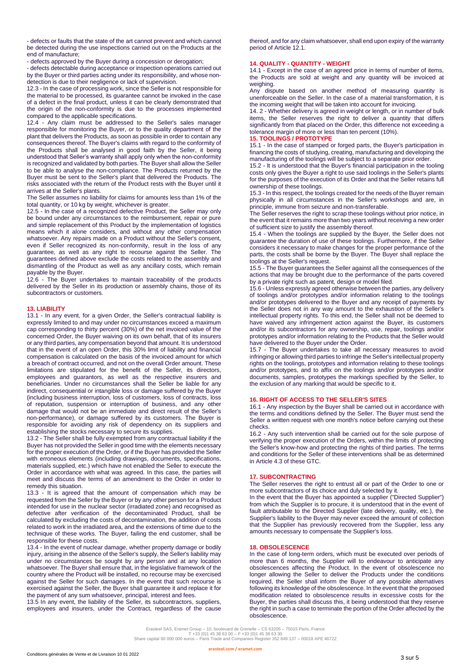- defects or faults that the state of the art cannot prevent and which cannot be detected during the use inspections carried out on the Products at the end of manufacture;

- defects approved by the Buyer during a concession or derogation;

- defects detectable during acceptance or inspection operations carried out by the Buyer or third parties acting under its responsibility, and whose nondetection is due to their negligence or lack of supervision.

12.3 - In the case of processing work, since the Seller is not responsible for the material to be processed, its guarantee cannot be invoked in the case of a defect in the final product, unless it can be clearly demonstrated that the origin of the non-conformity is due to the processes implemented compared to the applicable specifications.

12.4 - Any claim must be addressed to the Seller's sales manager responsible for monitoring the Buyer, or to the quality department of the plant that delivers the Products, as soon as possible in order to contain any consequences thereof. The Buyer's claims with regard to the conformity of the Products shall be analysed in good faith by the Seller, it being understood that Seller's warranty shall apply only when the non-conformity is recognized and validated by both parties. The Buyer shall allow the Seller to be able to analyse the non-compliance. The Products returned by the Buyer must be sent to the Seller's plant that delivered the Products. The risks associated with the return of the Product rests with the Buyer until it arrives at the Seller's plants.

The Seller assumes no liability for claims for amounts less than 1% of the total quantity, or 10 kg by weight, whichever is greater.

12.5 - In the case of a recognized defective Product, the Seller may only be bound under any circumstances to the reimbursement, repair or pure and simple replacement of this Product by the implementation of logistics means which it alone considers, and without any other compensation whatsoever. Any repairs made on a Product without the Seller's consent, even if Seller recognized its non-conformity, result in the loss of any guarantee, as well as any right to recourse against the Seller. The guarantees defined above exclude the costs related to the assembly and dismantling of the Product as well as any ancillary costs, which remain payable by the Buyer.

12.6 - The Buyer undertakes to maintain traceability of the products delivered by the Seller in its production or assembly chains, those of its subcontractors or customers.

# **13. LIABILITY**

13.1 - In any event, for a given Order, the Seller's contractual liability is expressly limited to and may under no circumstances exceed a maximum cap corresponding to thirty percent (30%) of the net invoiced value of the concerned Order, the Buyer waiving on its own behalf, that of its insurers or any third parties, any compensation beyond that amount. It is understood that in the event of an open Order, this 30% limit of liability and financial compensation is calculated on the basis of the invoiced amount for which a breach of contract occurred, and not on the overall Order amount. These limitations are stipulated for the benefit of the Seller, its directors, employees and guarantors, as well as the respective insurers and beneficiaries. Under no circumstances shall the Seller be liable for any indirect, consequential or intangible loss or damage suffered by the Buyer (including business interruption, loss of customers, loss of contracts, loss of reputation, suspension or interruption of business, and any other damage that would not be an immediate and direct result of the Seller's non-performance), or damage suffered by its customers. The Buyer is responsible for avoiding any risk of dependency on its suppliers and establishing the stocks necessary to secure its supplies.

13.2 - The Seller shall be fully exempted from any contractual liability if the Buyer has not provided the Seller in good time with the elements necessary for the proper execution of the Order, or if the Buyer has provided the Seller with erroneous elements (including drawings, documents, specifications, materials supplied, etc.) which have not enabled the Seller to execute the Order in accordance with what was agreed. In this case, the parties will meet and discuss the terms of an amendment to the Order in order to remedy this situation.

13.3 - It is agreed that the amount of compensation which may be requested from the Seller by the Buyer or by any other person for a Product intended for use in the nuclear sector (irradiated zone) and recognised as defective after verification of the decontaminated Product, shall be calculated by excluding the costs of decontamination, the addition of costs related to work in the irradiated area, and the extensions of time due to the technique of these works. The Buyer, failing the end customer, shall be responsible for these costs.

13.4 - In the event of nuclear damage, whether property damage or bodily injury, arising in the absence of the Seller's supply, the Seller's liability may under no circumstances be sought by any person and at any location whatsoever. The Buyer shall ensure that, in the legislative framework of the country where the Product will be installed, no recourse may be exercised against the Seller for such damages. In the event that such recourse is exercised against the Seller, the Buyer shall guarantee it and replace it for the payment of any sum whatsoever, principal, interest and fees.

13.5 In any event, the liability of the Seller, its subcontractors, suppliers, employees and insurers, under the Contract, regardless of the cause

thereof, and for any claim whatsoever, shall end upon expiry of the warranty period of Article 12.1.

#### **14. QUALITY - QUANTITY - WEIGHT**

14.1 - Except in the case of an agreed price in terms of number of items, the Products are sold at weight and any quantity will be invoiced at weighing.

Any dispute based on another method of measuring quantity is unenforceable on the Seller. In the case of a material transformation, it is the incoming weight that will be taken into account for invoicing.

14. 2 - Whether delivery is agreed in weight or length, or in number of bulk items, the Seller reserves the right to deliver a quantity that differs significantly from that placed on the Order, this difference not exceeding a tolerance margin of more or less than ten percent (10%). **15. TOOLINGS / PROTOTYPE**

# 15.1 - In the case of stamped or forged parts, the Buyer's participation in

financing the costs of studying, creating, manufacturing and developing the manufacturing of the toolings will be subject to a separate prior order.

15.2 - It is understood that the Buyer's financial participation in the tooling costs only gives the Buyer a right to use said toolings in the Seller's plants for the purposes of the execution of its Order and that the Seller retains full ownership of these toolings.

15.3 - In this respect, the toolings created for the needs of the Buyer remain physically in all circumstances in the Seller's workshops and are, in principle, immune from seizure and non-transferable.

The Seller reserves the right to scrap these toolings without prior notice, in the event that it remains more than two years without receiving a new order of sufficient size to justify the assembly thereof.

15.4 - When the toolings are supplied by the Buyer, the Seller does not guarantee the duration of use of these toolings. Furthermore, if the Seller considers it necessary to make changes for the proper performance of the parts, the costs shall be borne by the Buyer. The Buyer shall replace the toolings at the Seller's request.

15.5 - The Buyer guarantees the Seller against all the consequences of the actions that may be brought due to the performance of the parts covered by a private right such as patent, design or model filed.

15.6 - Unless expressly agreed otherwise between the parties, any delivery of toolings and/or prototypes and/or information relating to the toolings and/or prototypes delivered to the Buyer and any receipt of payments by the Seller does not in any way amount to the exhaustion of the Seller's intellectual property rights. To this end, the Seller shall not be deemed to have waived any infringement action against the Buyer, its customers and/or its subcontractors for any ownership, use, repair, toolings and/or prototypes and/or information relating to the Products that the Seller would have delivered to the Buyer under the Order.

15.7 - The Buyer undertakes to take all necessary measures to avoid infringing or allowing third parties to infringe the Seller's intellectual property rights on the toolings, prototypes and information relating to these toolings and/or prototypes, and to affix on the toolings and/or prototypes and/or documents, samples, prototypes the markings specified by the Seller, to the exclusion of any marking that would be specific to it.

#### **16. RIGHT OF ACCESS TO THE SELLER'S SITES**

16.1 - Any inspection by the Buyer shall be carried out in accordance with the terms and conditions defined by the Seller. The Buyer must send the Seller a written request with one month's notice before carrying out these checks.

16.2 - Any such intervention shall be carried out for the sole purpose of verifying the proper execution of the Orders, within the limits of protecting the Seller's know-how and protecting the rights of third parties. The terms and conditions for the Seller of these interventions shall be as determined in Article 4.3 of these GTC.

# **17. SUBCONTRACTING**

The Seller reserves the right to entrust all or part of the Order to one or more subcontractors of its choice and duly selected by it.

In the event that the Buyer has appointed a supplier ("Directed Supplier") from which the Supplier is to procure, it is understood that in the event of fault attributable to the Directed Supplier (late delivery, quality, etc.), the Supplier's liability to the Buyer may never exceed the amount of collection that the Supplier has previously recovered from the Supplier, less any amounts necessary to compensate the Supplier's loss.

#### **18. OBSOLESCENCE**

In the case of long-term orders, which must be executed over periods of more than 6 months, the Supplier will to endeavour to anticipate any obsolescences affecting the Product. In the event of obsolescence no longer allowing the Seller to deliver the Products under the conditions required, the Seller shall inform the Buyer of any possible alternatives following its knowledge of the obsolescence. In the event that the proposed modification related to obsolescence results in excessive costs for the Buyer, the parties shall discuss this, it being understood that they reserve the right in such a case to terminate the portion of the Order affected by the obsolescence.

Erasteel SAS, Eramet Group – 10, boulevard de Grenelle – CS 63205 – 75015 Paris, France<br>T +33 (0)1 45 38 63 00 – F +33 (0)1 45 38 64 – 7<br>Share capital 60 000 000 euros – Paris Trade and Companies Register 352 849 137 – 000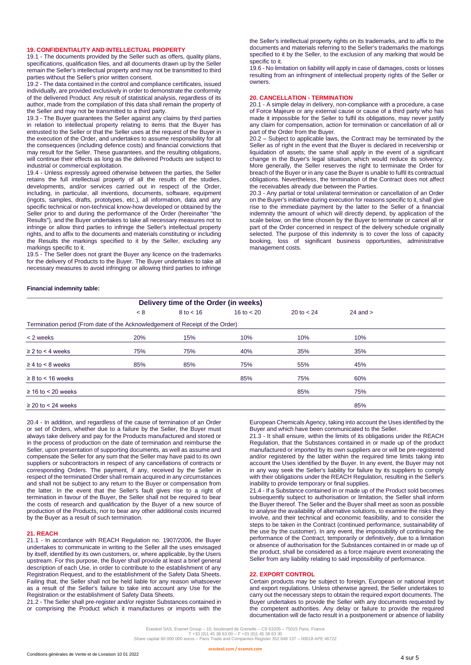#### **19. CONFIDENTIALITY AND INTELLECTUAL PROPERTY**

19.1 - The documents provided by the Seller such as offers, quality plans, specifications, qualification files, and all documents drawn up by the Seller remain the Seller's intellectual property and may not be transmitted to third parties without the Seller's prior written consent.

19.2 - The data contained in the control and compliance certificates, issued individually, are provided exclusively in order to demonstrate the conformity of the delivered Product. Any result of statistical analysis, regardless of its author, made from the compilation of this data shall remain the property of the Seller and may not be transmitted to a third party.

19.3 - The Buyer guarantees the Seller against any claims by third parties in relation to intellectual property relating to items that the Buyer has entrusted to the Seller or that the Seller uses at the request of the Buyer in the execution of the Order, and undertakes to assume responsibility for all the consequences (including defence costs) and financial convictions that may result for the Seller. These guarantees, and the resulting obligations, will continue their effects as long as the delivered Products are subject to industrial or commercial exploitation.

19.4 - Unless expressly agreed otherwise between the parties, the Seller retains the full intellectual property of all the results of the studies, developments, and/or services carried out in respect of the Order, including, in particular, all inventions, documents, software, equipment (ingots, samples, drafts, prototypes, etc.), all information, data and any specific technical or non-technical know-how developed or obtained by the Seller prior to and during the performance of the Order (hereinafter "the Results"), and the Buyer undertakes to take all necessary measures not to infringe or allow third parties to infringe the Seller's intellectual property rights, and to affix to the documents and materials constituting or including the Results the markings specified to it by the Seller, excluding any markings specific to it.

19.5 - The Seller does not grant the Buyer any licence on the trademarks for the delivery of Products to the Buyer. The Buyer undertakes to take all necessary measures to avoid infringing or allowing third parties to infringe

the Seller's intellectual property rights on its trademarks, and to affix to the documents and materials referring to the Seller's trademarks the markings specified to it by the Seller, to the exclusion of any marking that would be specific to it.

19.6 - No limitation on liability will apply in case of damages, costs or losses resulting from an infringment of intellectual property rights of the Seller or owners.

#### **20. CANCELLATION - TERMINATION**

20.1 - A simple delay in delivery, non-compliance with a procedure, a case of Force Majeure or any external cause or cause of a third party who has made it impossible for the Seller to fulfil its obligations, may never justify any claim for compensation, action for termination or cancellation of all or part of the Order from the Buyer.

20.2 – Subject to applicable laws, the Contract may be terminated by the Seller as of right in the event that the Buyer is declared in receivership or liquidation of assets; the same shall apply in the event of a significant change in the Buyer's legal situation, which would reduce its solvency. More generally, the Seller reserves the right to terminate the Order for breach of the Buyer or in any case the Buyer is unable to fulfil its contractual obligations. Nevertheless, the termination of the Contract does not affect the receivables already due between the Parties.

20.3 - Any partial or total unilateral termination or cancellation of an Order on the Buyer's initiative during execution for reasons specific to it, shall give rise to the immediate payment by the latter to the Seller of a financial indemnity the amount of which will directly depend, by application of the scale below, on the time chosen by the Buyer to terminate or cancel all or part of the Order concerned in respect of the delivery schedule originally selected. The purpose of this indemnity is to cover the loss of capacity booking, loss of significant business opportunities, administrative management costs.

# **Financial indemnity table:**

|                                                                               | Delivery time of the Order (in weeks) |                      |              |                     |              |  |
|-------------------------------------------------------------------------------|---------------------------------------|----------------------|--------------|---------------------|--------------|--|
|                                                                               | < 8                                   | $8 \text{ to } < 16$ | 16 to $< 20$ | $20 \text{ to } 24$ | $24$ and $>$ |  |
| Termination period (From date of the Acknowledgement of Receipt of the Order) |                                       |                      |              |                     |              |  |
| $<$ 2 weeks                                                                   | 20%                                   | 15%                  | 10%          | 10%                 | 10%          |  |
| $\geq$ 2 to < 4 weeks                                                         | 75%                                   | 75%                  | 40%          | 35%                 | 35%          |  |
| $\geq 4$ to < 8 weeks                                                         | 85%                                   | 85%                  | 75%          | 55%                 | 45%          |  |
| $\geq 8$ to < 16 weeks                                                        |                                       |                      | 85%          | 75%                 | 60%          |  |
| $\geq$ 16 to < 20 weeks                                                       |                                       |                      |              | 85%                 | 75%          |  |
| $\geq$ 20 to < 24 weeks                                                       |                                       |                      |              |                     | 85%          |  |

20.4 - In addition, and regardless of the cause of termination of an Order or set of Orders, whether due to a failure by the Seller, the Buyer must always take delivery and pay for the Products manufactured and stored or in the process of production on the date of termination and reimburse the Seller, upon presentation of supporting documents, as well as assume and compensate the Seller for any sum that the Seller may have paid to its own suppliers or subcontractors in respect of any cancellations of contracts or corresponding Orders. The payment, if any, received by the Seller in respect of the terminated Order shall remain acquired in any circumstances and shall not be subject to any return to the Buyer or compensation from the latter. In the event that the Seller's fault gives rise to a right of termination in favour of the Buyer, the Seller shall not be required to bear the costs of research and qualification by the Buyer of a new source of production of the Products, nor to bear any other additional costs incurred by the Buyer as a result of such termination.

#### **21. REACH**

21.1 - In accordance with REACH Regulation no. 1907/2006, the Buyer undertakes to communicate in writing to the Seller all the uses envisaged by itself, identified by its own customers, or, where applicable, by the Users upstream. For this purpose, the Buyer shall provide at least a brief general description of each Use, in order to contribute to the establishment of any Registration Request, and to the establishment of the Safety Data Sheets. Failing that, the Seller shall not be held liable for any reason whatsoever as a result of the Seller's failure to take into account any Use for the Registration or the establishment of Safety Data Sheets.

21.2 - The Seller shall pre-register and/or register Substances contained in or comprising the Product which it manufactures or imports with the European Chemicals Agency, taking into account the Uses identified by the Buyer and which have been communicated to the Seller.

21.3 - It shall ensure, within the limits of its obligations under the REACH Regulation, that the Substances contained in or made up of the product manufactured or imported by its own suppliers are or will be pre-registered and/or registered by the latter within the required time limits taking into account the Uses identified by the Buyer. In any event, the Buyer may not in any way seek the Seller's liability for failure by its suppliers to comply with their obligations under the REACH Regulation, resulting in the Seller's inability to provide temporary or final supplies.

21.4 - If a Substance contained in or made up of the Product sold becomes subsequently subject to authorisation or limitation, the Seller shall inform the Buyer thereof. The Seller and the Buyer shall meet as soon as possible to analyse the availability of alternative solutions, to examine the risks they involve, and their technical and economic feasibility, and to consider the steps to be taken in the Contract (continued performance, sustainability of the use by the customer). In any event, the impossibility of continuing the performance of the Contract, temporarily or definitively, due to a limitation or absence of authorisation for the Substances contained in or made up of the product, shall be considered as a force majeure event exonerating the Seller from any liability relating to said impossibility of performance.

# **22. EXPORT CONTROL**

Certain products may be subject to foreign, European or national import and export regulations. Unless otherwise agreed, the Seller undertakes to carry out the necessary steps to obtain the required export documents. The Buyer undertakes to provide the Seller with any documents requested by the competent authorities. Any delay or failure to provide the required documentation will de facto result in a postponement or absence of liability

Erasteel SAS, Eramet Group – 10, boulevard de Grenelle – CS 63205 – 75015 Paris, France<br>T +33 (0)1 45 38 63 00 – F +33 (0)1 45 38 64 – 7<br>Share capital 60 000 000 euros – Paris Trade and Companies Register 352 849 137 – 000